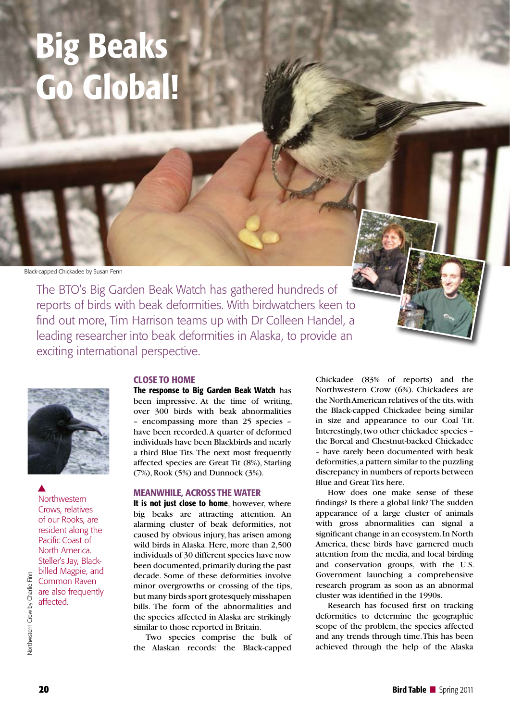# Big Beaks Global!

Black-capped Chickadee by Susan Fenn

The BTO's Big Garden Beak Watch has gathered hundreds of reports of birds with beak deformities. With birdwatchers keen to find out more, Tim Harrison teams up with Dr Colleen Handel, a leading researcher into beak deformities in Alaska, to provide an exciting international perspective.



**Northwestern** Crows, relatives of our Rooks, are resident along the Pacific Coast of North America. Steller's Jay, Blackbilled Magpie, and Common Raven are also frequently affected.  $\blacktriangle$ 

## CLOSE TO HOME

The response to Big Garden Beak Watch has been impressive. At the time of writing, over 300 birds with beak abnormalities – encompassing more than 25 species – have been recorded. A quarter of deformed individuals have been Blackbirds and nearly a third Blue Tits. The next most frequently affected species are Great Tit (8%), Starling (7%), Rook (5%) and Dunnock (3%).

#### MEANWHILE, ACROSS THE WATER

It is not just close to home, however, where big beaks are attracting attention. An alarming cluster of beak deformities, not caused by obvious injury, has arisen among wild birds in Alaska. Here, more than 2,500 individuals of 30 different species have now been documented, primarily during the past decade. Some of these deformities involve minor overgrowths or crossing of the tips, but many birds sport grotesquely misshapen bills. The form of the abnormalities and the species affected in Alaska are strikingly similar to those reported in Britain.

Two species comprise the bulk of the Alaskan records: the Black-capped Chickadee (83% of reports) and the Northwestern Crow (6%). Chickadees are the North American relatives of the tits, with the Black-capped Chickadee being similar in size and appearance to our Coal Tit. Interestingly, two other chickadee species – the Boreal and Chestnut-backed Chickadee – have rarely been documented with beak deformities, a pattern similar to the puzzling discrepancy in numbers of reports between Blue and Great Tits here.

How does one make sense of these findings? Is there a global link? The sudden appearance of a large cluster of animals with gross abnormalities can signal a significant change in an ecosystem. In North America, these birds have garnered much attention from the media, and local birding and conservation groups, with the U.S. Government launching a comprehensive research program as soon as an abnormal cluster was identified in the 1990s.

Research has focused first on tracking deformities to determine the geographic scope of the problem, the species affected and any trends through time. This has been achieved through the help of the Alaska